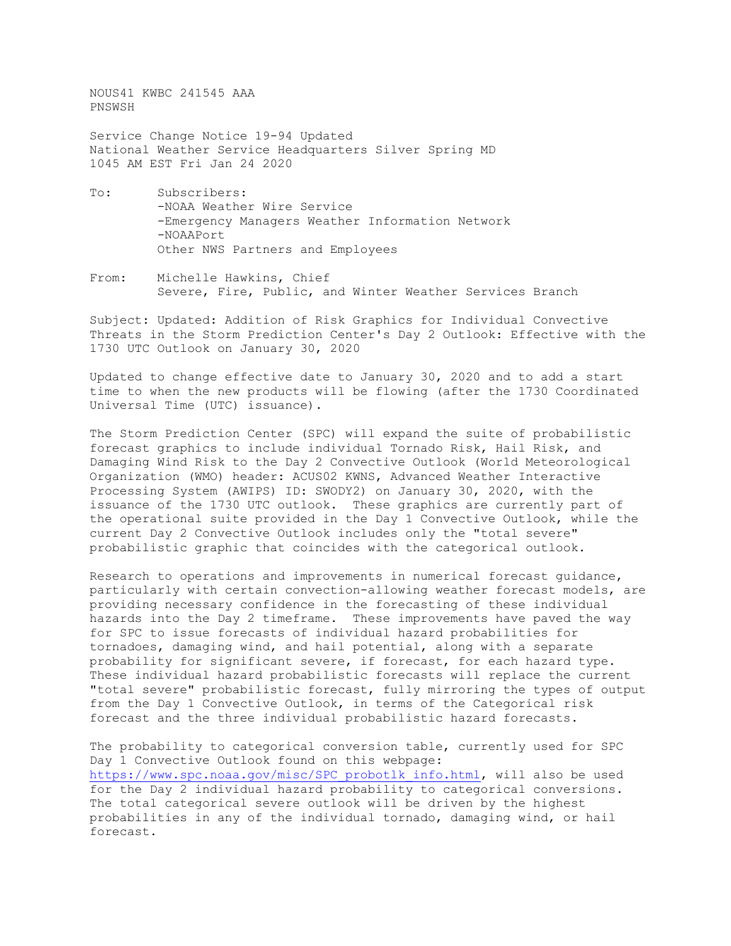NOUS41 KWBC 241545 AAA PNSWSH

Service Change Notice 19-94 Updated National Weather Service Headquarters Silver Spring MD 1045 AM EST Fri Jan 24 2020

- To: Subscribers: -NOAA Weather Wire Service -Emergency Managers Weather Information Network -NOAAPort Other NWS Partners and Employees
- From: Michelle Hawkins, Chief Severe, Fire, Public, and Winter Weather Services Branch

Subject: Updated: Addition of Risk Graphics for Individual Convective Threats in the Storm Prediction Center's Day 2 Outlook: Effective with the 1730 UTC Outlook on January 30, 2020

Updated to change effective date to January 30, 2020 and to add a start time to when the new products will be flowing (after the 1730 Coordinated Universal Time (UTC) issuance).

The Storm Prediction Center (SPC) will expand the suite of probabilistic forecast graphics to include individual Tornado Risk, Hail Risk, and Damaging Wind Risk to the Day 2 Convective Outlook (World Meteorological Organization (WMO) header: ACUS02 KWNS, Advanced Weather Interactive Processing System (AWIPS) ID: SWODY2) on January 30, 2020, with the issuance of the 1730 UTC outlook. These graphics are currently part of the operational suite provided in the Day 1 Convective Outlook, while the current Day 2 Convective Outlook includes only the "total severe" probabilistic graphic that coincides with the categorical outlook.

Research to operations and improvements in numerical forecast guidance, particularly with certain convection-allowing weather forecast models, are providing necessary confidence in the forecasting of these individual hazards into the Day 2 timeframe. These improvements have paved the way for SPC to issue forecasts of individual hazard probabilities for tornadoes, damaging wind, and hail potential, along with a separate probability for significant severe, if forecast, for each hazard type. These individual hazard probabilistic forecasts will replace the current "total severe" probabilistic forecast, fully mirroring the types of output from the Day 1 Convective Outlook, in terms of the Categorical risk forecast and the three individual probabilistic hazard forecasts.

The probability to categorical conversion table, currently used for SPC Day 1 Convective Outlook found on this webpage: [https://www.spc.noaa.gov/misc/SPC\\_probotlk\\_info.html,](https://www.spc.noaa.gov/misc/SPC_probotlk_info.html) will also be used for the Day 2 individual hazard probability to categorical conversions. The total categorical severe outlook will be driven by the highest probabilities in any of the individual tornado, damaging wind, or hail forecast.